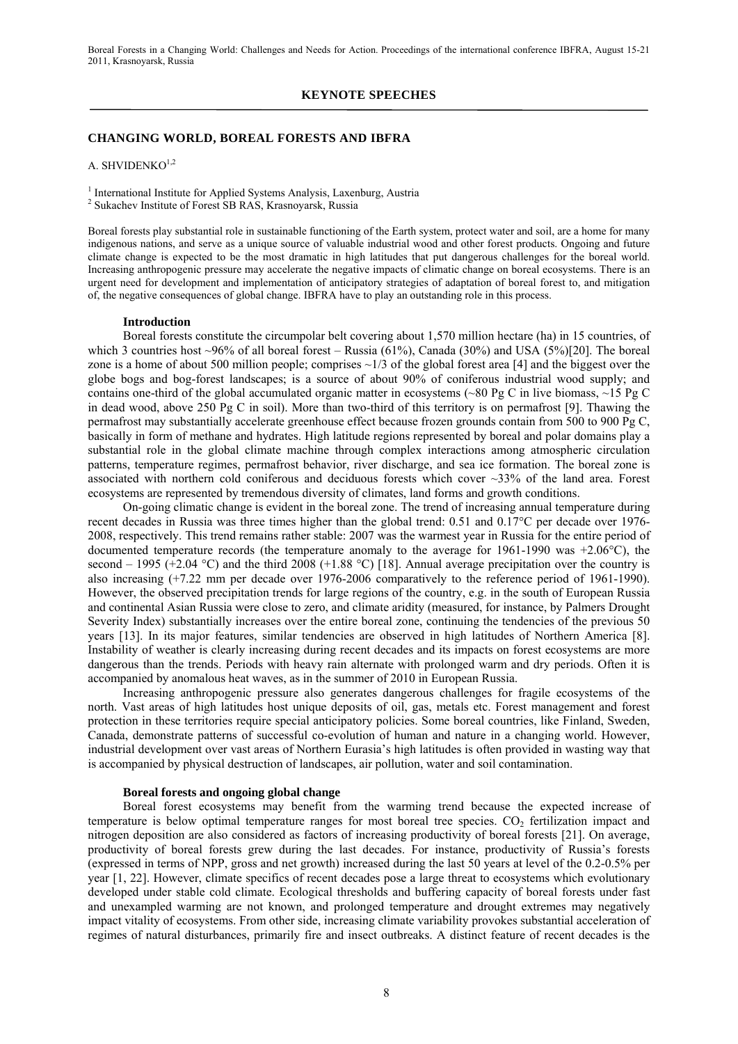#### **KEYNOTE SPEECHES**

### **CHANGING WORLD, BOREAL FORESTS AND IBFRA**

A. SHVIDENK $O<sup>1,2</sup>$ 

<sup>1</sup> International Institute for Applied Systems Analysis, Laxenburg, Austria

2 Sukachev Institute of Forest SB RAS, Krasnoyarsk, Russia

Boreal forests play substantial role in sustainable functioning of the Earth system, protect water and soil, are a home for many indigenous nations, and serve as a unique source of valuable industrial wood and other forest products. Ongoing and future climate change is expected to be the most dramatic in high latitudes that put dangerous challenges for the boreal world. Increasing anthropogenic pressure may accelerate the negative impacts of climatic change on boreal ecosystems. There is an urgent need for development and implementation of anticipatory strategies of adaptation of boreal forest to, and mitigation of, the negative consequences of global change. IBFRA have to play an outstanding role in this process.

#### **Introduction**

Boreal forests constitute the circumpolar belt covering about 1,570 million hectare (ha) in 15 countries, of which 3 countries host  $\sim$ 96% of all boreal forest – Russia (61%), Canada (30%) and USA (5%)[20]. The boreal zone is a home of about 500 million people; comprises  $\sim$ 1/3 of the global forest area [4] and the biggest over the globe bogs and bog-forest landscapes; is a source of about 90% of coniferous industrial wood supply; and contains one-third of the global accumulated organic matter in ecosystems (~80 Pg C in live biomass, ~15 Pg C in dead wood, above 250 Pg C in soil). More than two-third of this territory is on permafrost [9]. Thawing the permafrost may substantially accelerate greenhouse effect because frozen grounds contain from 500 to 900 Pg C, basically in form of methane and hydrates. High latitude regions represented by boreal and polar domains play a substantial role in the global climate machine through complex interactions among atmospheric circulation patterns, temperature regimes, permafrost behavior, river discharge, and sea ice formation. The boreal zone is associated with northern cold coniferous and deciduous forests which cover ~33% of the land area. Forest ecosystems are represented by tremendous diversity of climates, land forms and growth conditions.

On-going climatic change is evident in the boreal zone. The trend of increasing annual temperature during recent decades in Russia was three times higher than the global trend: 0.51 and 0.17°C per decade over 1976- 2008, respectively. This trend remains rather stable: 2007 was the warmest year in Russia for the entire period of documented temperature records (the temperature anomaly to the average for 1961-1990 was +2.06°C), the second – 1995 (+2.04 °C) and the third 2008 (+1.88 °C) [18]. Annual average precipitation over the country is also increasing (+7.22 mm per decade over 1976-2006 comparatively to the reference period of 1961-1990). However, the observed precipitation trends for large regions of the country, e.g. in the south of European Russia and continental Asian Russia were close to zero, and climate aridity (measured, for instance, by Palmers Drought Severity Index) substantially increases over the entire boreal zone, continuing the tendencies of the previous 50 years [13]. In its major features, similar tendencies are observed in high latitudes of Northern America [8]. Instability of weather is clearly increasing during recent decades and its impacts on forest ecosystems are more dangerous than the trends. Periods with heavy rain alternate with prolonged warm and dry periods. Often it is accompanied by anomalous heat waves, as in the summer of 2010 in European Russia.

Increasing anthropogenic pressure also generates dangerous challenges for fragile ecosystems of the north. Vast areas of high latitudes host unique deposits of oil, gas, metals etc. Forest management and forest protection in these territories require special anticipatory policies. Some boreal countries, like Finland, Sweden, Canada, demonstrate patterns of successful co-evolution of human and nature in a changing world. However, industrial development over vast areas of Northern Eurasia's high latitudes is often provided in wasting way that is accompanied by physical destruction of landscapes, air pollution, water and soil contamination.

# **Boreal forests and ongoing global change**

Boreal forest ecosystems may benefit from the warming trend because the expected increase of temperature is below optimal temperature ranges for most boreal tree species. CO<sub>2</sub> fertilization impact and nitrogen deposition are also considered as factors of increasing productivity of boreal forests [21]. On average, productivity of boreal forests grew during the last decades. For instance, productivity of Russia's forests (expressed in terms of NPP, gross and net growth) increased during the last 50 years at level of the 0.2-0.5% per year [1, 22]. However, climate specifics of recent decades pose a large threat to ecosystems which evolutionary developed under stable cold climate. Ecological thresholds and buffering capacity of boreal forests under fast and unexampled warming are not known, and prolonged temperature and drought extremes may negatively impact vitality of ecosystems. From other side, increasing climate variability provokes substantial acceleration of regimes of natural disturbances, primarily fire and insect outbreaks. A distinct feature of recent decades is the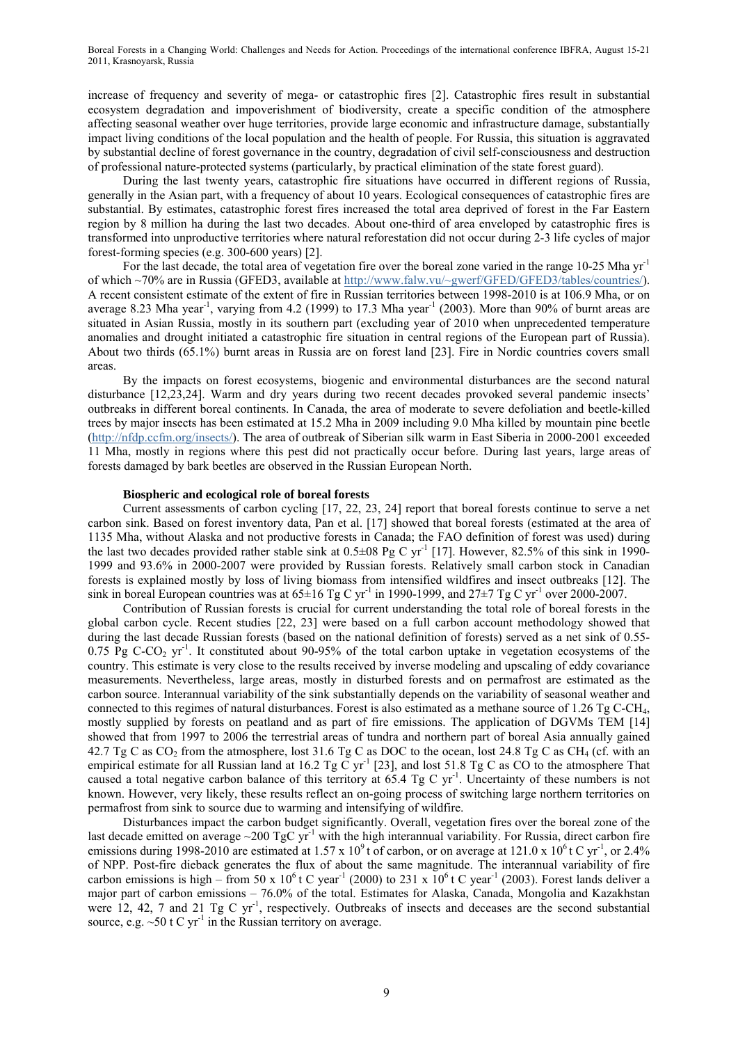increase of frequency and severity of mega- or catastrophic fires [2]. Catastrophic fires result in substantial ecosystem degradation and impoverishment of biodiversity, create a specific condition of the atmosphere affecting seasonal weather over huge territories, provide large economic and infrastructure damage, substantially impact living conditions of the local population and the health of people. For Russia, this situation is aggravated by substantial decline of forest governance in the country, degradation of civil self-consciousness and destruction of professional nature-protected systems (particularly, by practical elimination of the state forest guard).

During the last twenty years, catastrophic fire situations have occurred in different regions of Russia, generally in the Asian part, with a frequency of about 10 years. Ecological consequences of catastrophic fires are substantial. By estimates, catastrophic forest fires increased the total area deprived of forest in the Far Eastern region by 8 million ha during the last two decades. About one-third of area enveloped by catastrophic fires is transformed into unproductive territories where natural reforestation did not occur during 2-3 life cycles of major forest-forming species (e.g. 300-600 years) [2].

For the last decade, the total area of vegetation fire over the boreal zone varied in the range 10-25 Mha yr<sup>-1</sup> of which ~70% are in Russia (GFED3, available at http://www.falw.vu/~gwerf/GFED/GFED3/tables/countries/). A recent consistent estimate of the extent of fire in Russian territories between 1998-2010 is at 106.9 Mha, or on average 8.23 Mha year<sup>-1</sup>, varying from 4.2 (1999) to 17.3 Mha year<sup>-1</sup> (2003). More than 90% of burnt areas are situated in Asian Russia, mostly in its southern part (excluding year of 2010 when unprecedented temperature anomalies and drought initiated a catastrophic fire situation in central regions of the European part of Russia). About two thirds (65.1%) burnt areas in Russia are on forest land [23]. Fire in Nordic countries covers small areas.

By the impacts on forest ecosystems, biogenic and environmental disturbances are the second natural disturbance [12,23,24]. Warm and dry years during two recent decades provoked several pandemic insects' outbreaks in different boreal continents. In Canada, the area of moderate to severe defoliation and beetle-killed trees by major insects has been estimated at 15.2 Mha in 2009 including 9.0 Mha killed by mountain pine beetle (http://nfdp.ccfm.org/insects/). The area of outbreak of Siberian silk warm in East Siberia in 2000-2001 exceeded 11 Mha, mostly in regions where this pest did not practically occur before. During last years, large areas of forests damaged by bark beetles are observed in the Russian European North.

## **Biospheric and ecological role of boreal forests**

Current assessments of carbon cycling [17, 22, 23, 24] report that boreal forests continue to serve a net carbon sink. Based on forest inventory data, Pan et al. [17] showed that boreal forests (estimated at the area of 1135 Mha, without Alaska and not productive forests in Canada; the FAO definition of forest was used) during the last two decades provided rather stable sink at  $0.5\pm08$  Pg C yr<sup>-1</sup> [17]. However, 82.5% of this sink in 1990-1999 and 93.6% in 2000-2007 were provided by Russian forests. Relatively small carbon stock in Canadian forests is explained mostly by loss of living biomass from intensified wildfires and insect outbreaks [12]. The sink in boreal European countries was at  $65\pm16$  Tg C yr<sup>-1</sup> in 1990-1999, and  $27\pm7$  Tg C yr<sup>-1</sup> over 2000-2007.

Contribution of Russian forests is crucial for current understanding the total role of boreal forests in the global carbon cycle. Recent studies [22, 23] were based on a full carbon account methodology showed that during the last decade Russian forests (based on the national definition of forests) served as a net sink of 0.55- 0.75 Pg C-CO<sub>2</sub> yr<sup>-1</sup>. It constituted about 90-95% of the total carbon uptake in vegetation ecosystems of the country. This estimate is very close to the results received by inverse modeling and upscaling of eddy covariance measurements. Nevertheless, large areas, mostly in disturbed forests and on permafrost are estimated as the carbon source. Interannual variability of the sink substantially depends on the variability of seasonal weather and connected to this regimes of natural disturbances. Forest is also estimated as a methane source of 1.26 Tg C-CH4, mostly supplied by forests on peatland and as part of fire emissions. The application of DGVMs TEM [14] showed that from 1997 to 2006 the terrestrial areas of tundra and northern part of boreal Asia annually gained 42.7 Tg C as CO<sub>2</sub> from the atmosphere, lost 31.6 Tg C as DOC to the ocean, lost 24.8 Tg C as CH<sub>4</sub> (cf. with an empirical estimate for all Russian land at 16.2 Tg C yr<sup>-1</sup> [23], and lost 51.8 Tg C as CO to the atmosphere That caused a total negative carbon balance of this territory at 65.4 Tg C yr<sup>-1</sup>. Uncertainty of these numbers is not known. However, very likely, these results reflect an on-going process of switching large northern territories on permafrost from sink to source due to warming and intensifying of wildfire.

Disturbances impact the carbon budget significantly. Overall, vegetation fires over the boreal zone of the last decade emitted on average  $\sim$ 200 TgC yr<sup>-1</sup> with the high interannual variability. For Russia, direct carbon fire emissions during 1998-2010 are estimated at 1.57 x 10<sup>9</sup> t of carbon, or on average at 121.0 x 10<sup>6</sup> t C yr<sup>-1</sup>, or 2.4% of NPP. Post-fire dieback generates the flux of about the same magnitude. The interannual variability of fire carbon emissions is high – from 50 x 10<sup>6</sup> t C year<sup>-1</sup> (2000) to 231 x  $10^6$  t C year<sup>-1</sup> (2003). Forest lands deliver a major part of carbon emissions – 76.0% of the total. Estimates for Alaska, Canada, Mongolia and Kazakhstan were 12, 42, 7 and 21 Tg C  $yr^{-1}$ , respectively. Outbreaks of insects and deceases are the second substantial source, e.g.  $\sim 50$  t C yr<sup>-1</sup> in the Russian territory on average.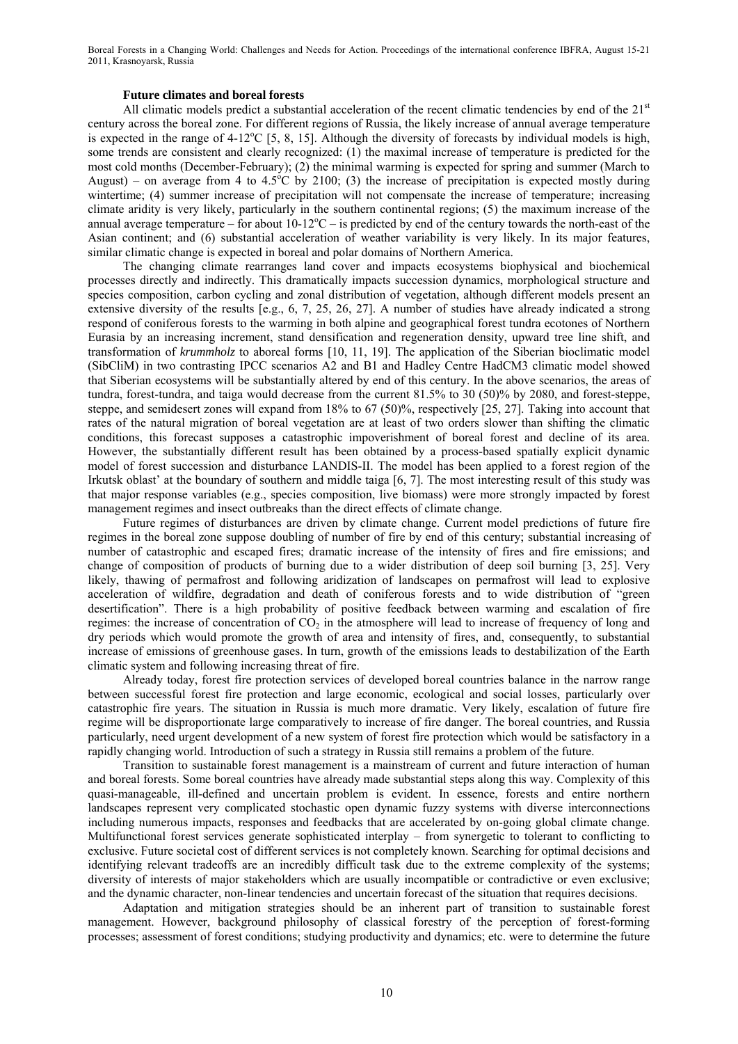### **Future climates and boreal forests**

All climatic models predict a substantial acceleration of the recent climatic tendencies by end of the  $21<sup>st</sup>$ century across the boreal zone. For different regions of Russia, the likely increase of annual average temperature is expected in the range of  $4-12^{\circ}C$  [5, 8, 15]. Although the diversity of forecasts by individual models is high, some trends are consistent and clearly recognized: (1) the maximal increase of temperature is predicted for the most cold months (December-February); (2) the minimal warming is expected for spring and summer (March to August) – on average from 4 to 4.5°C by 2100; (3) the increase of precipitation is expected mostly during wintertime; (4) summer increase of precipitation will not compensate the increase of temperature; increasing climate aridity is very likely, particularly in the southern continental regions; (5) the maximum increase of the annual average temperature – for about  $10-12^{\circ}\text{C}$  – is predicted by end of the century towards the north-east of the Asian continent; and (6) substantial acceleration of weather variability is very likely. In its major features, similar climatic change is expected in boreal and polar domains of Northern America.

The changing climate rearranges land cover and impacts ecosystems biophysical and biochemical processes directly and indirectly. This dramatically impacts succession dynamics, morphological structure and species composition, carbon cycling and zonal distribution of vegetation, although different models present an extensive diversity of the results [e.g., 6, 7, 25, 26, 27]. A number of studies have already indicated a strong respond of coniferous forests to the warming in both alpine and geographical forest tundra ecotones of Northern Eurasia by an increasing increment, stand densification and regeneration density, upward tree line shift, and transformation of *krummholz* to aboreal forms [10, 11, 19]. The application of the Siberian bioclimatic model (SibCliM) in two contrasting IPCC scenarios A2 and B1 and Hadley Centre HadCM3 climatic model showed that Siberian ecosystems will be substantially altered by end of this century. In the above scenarios, the areas of tundra, forest-tundra, and taiga would decrease from the current 81.5% to 30 (50)% by 2080, and forest-steppe, steppe, and semidesert zones will expand from 18% to 67 (50)%, respectively [25, 27]. Taking into account that rates of the natural migration of boreal vegetation are at least of two orders slower than shifting the climatic conditions, this forecast supposes a catastrophic impoverishment of boreal forest and decline of its area. However, the substantially different result has been obtained by a process-based spatially explicit dynamic model of forest succession and disturbance LANDIS-II. The model has been applied to a forest region of the Irkutsk oblast' at the boundary of southern and middle taiga [6, 7]. The most interesting result of this study was that major response variables (e.g., species composition, live biomass) were more strongly impacted by forest management regimes and insect outbreaks than the direct effects of climate change.

Future regimes of disturbances are driven by climate change. Current model predictions of future fire regimes in the boreal zone suppose doubling of number of fire by end of this century; substantial increasing of number of catastrophic and escaped fires; dramatic increase of the intensity of fires and fire emissions; and change of composition of products of burning due to a wider distribution of deep soil burning [3, 25]. Very likely, thawing of permafrost and following aridization of landscapes on permafrost will lead to explosive acceleration of wildfire, degradation and death of coniferous forests and to wide distribution of "green desertification". There is a high probability of positive feedback between warming and escalation of fire regimes: the increase of concentration of  $CO<sub>2</sub>$  in the atmosphere will lead to increase of frequency of long and dry periods which would promote the growth of area and intensity of fires, and, consequently, to substantial increase of emissions of greenhouse gases. In turn, growth of the emissions leads to destabilization of the Earth climatic system and following increasing threat of fire.

Already today, forest fire protection services of developed boreal countries balance in the narrow range between successful forest fire protection and large economic, ecological and social losses, particularly over catastrophic fire years. The situation in Russia is much more dramatic. Very likely, escalation of future fire regime will be disproportionate large comparatively to increase of fire danger. The boreal countries, and Russia particularly, need urgent development of a new system of forest fire protection which would be satisfactory in a rapidly changing world. Introduction of such a strategy in Russia still remains a problem of the future.

Transition to sustainable forest management is a mainstream of current and future interaction of human and boreal forests. Some boreal countries have already made substantial steps along this way. Complexity of this quasi-manageable, ill-defined and uncertain problem is evident. In essence, forests and entire northern landscapes represent very complicated stochastic open dynamic fuzzy systems with diverse interconnections including numerous impacts, responses and feedbacks that are accelerated by on-going global climate change. Multifunctional forest services generate sophisticated interplay – from synergetic to tolerant to conflicting to exclusive. Future societal cost of different services is not completely known. Searching for optimal decisions and identifying relevant tradeoffs are an incredibly difficult task due to the extreme complexity of the systems; diversity of interests of major stakeholders which are usually incompatible or contradictive or even exclusive; and the dynamic character, non-linear tendencies and uncertain forecast of the situation that requires decisions.

Adaptation and mitigation strategies should be an inherent part of transition to sustainable forest management. However, background philosophy of classical forestry of the perception of forest-forming processes; assessment of forest conditions; studying productivity and dynamics; etc. were to determine the future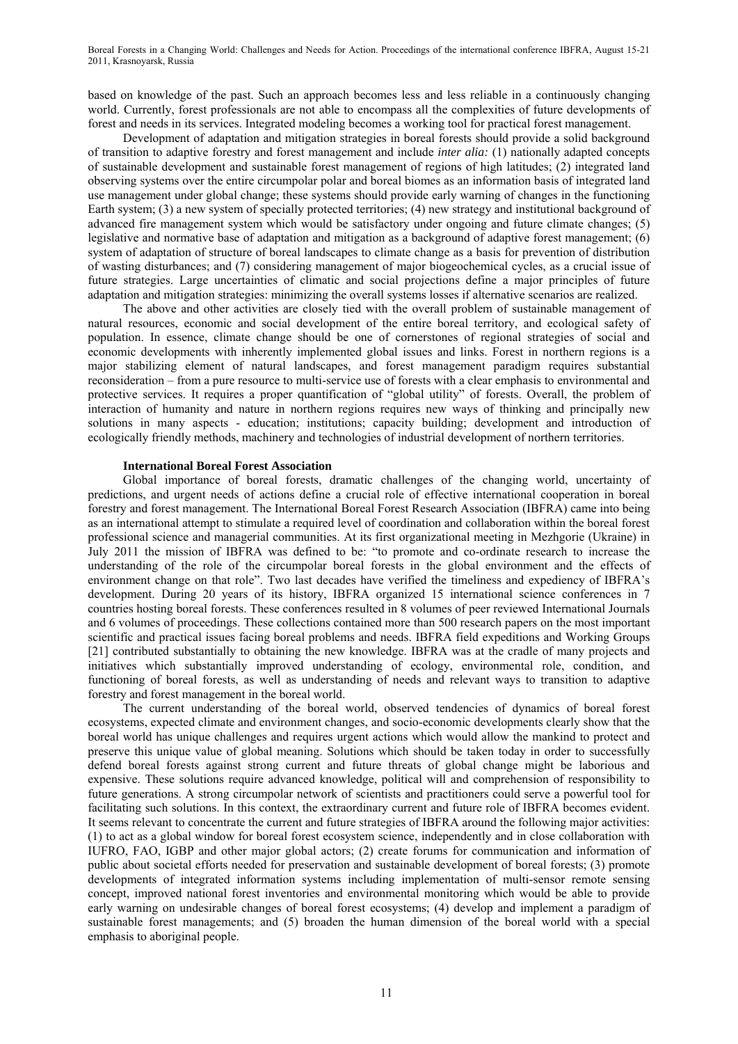based on knowledge of the past. Such an approach becomes less and less reliable in a continuously changing world. Currently, forest professionals are not able to encompass all the complexities of future developments of forest and needs in its services. Integrated modeling becomes a working tool for practical forest management.

Development of adaptation and mitigation strategies in boreal forests should provide a solid background of transition to adaptive forestry and forest management and include *inter alia:* (1) nationally adapted concepts of sustainable development and sustainable forest management of regions of high latitudes; (2) integrated land observing systems over the entire circumpolar polar and boreal biomes as an information basis of integrated land use management under global change; these systems should provide early warning of changes in the functioning Earth system; (3) a new system of specially protected territories; (4) new strategy and institutional background of advanced fire management system which would be satisfactory under ongoing and future climate changes; (5) legislative and normative base of adaptation and mitigation as a background of adaptive forest management; (6) system of adaptation of structure of boreal landscapes to climate change as a basis for prevention of distribution of wasting disturbances; and (7) considering management of major biogeochemical cycles, as a crucial issue of future strategies. Large uncertainties of climatic and social projections define a major principles of future adaptation and mitigation strategies: minimizing the overall systems losses if alternative scenarios are realized.

The above and other activities are closely tied with the overall problem of sustainable management of natural resources, economic and social development of the entire boreal territory, and ecological safety of population. In essence, climate change should be one of cornerstones of regional strategies of social and economic developments with inherently implemented global issues and links. Forest in northern regions is a major stabilizing element of natural landscapes, and forest management paradigm requires substantial reconsideration – from a pure resource to multi-service use of forests with a clear emphasis to environmental and protective services. It requires a proper quantification of "global utility" of forests. Overall, the problem of interaction of humanity and nature in northern regions requires new ways of thinking and principally new solutions in many aspects - education; institutions; capacity building; development and introduction of ecologically friendly methods, machinery and technologies of industrial development of northern territories.

## **International Boreal Forest Association**

Global importance of boreal forests, dramatic challenges of the changing world, uncertainty of predictions, and urgent needs of actions define a crucial role of effective international cooperation in boreal forestry and forest management. The International Boreal Forest Research Association (IBFRA) came into being as an international attempt to stimulate a required level of coordination and collaboration within the boreal forest professional science and managerial communities. At its first organizational meeting in Mezhgorie (Ukraine) in July 2011 the mission of IBFRA was defined to be: "to promote and co-ordinate research to increase the understanding of the role of the circumpolar boreal forests in the global environment and the effects of environment change on that role". Two last decades have verified the timeliness and expediency of IBFRA's development. During 20 years of its history, IBFRA organized 15 international science conferences in 7 countries hosting boreal forests. These conferences resulted in 8 volumes of peer reviewed International Journals and 6 volumes of proceedings. These collections contained more than 500 research papers on the most important scientific and practical issues facing boreal problems and needs. IBFRA field expeditions and Working Groups [21] contributed substantially to obtaining the new knowledge. IBFRA was at the cradle of many projects and initiatives which substantially improved understanding of ecology, environmental role, condition, and functioning of boreal forests, as well as understanding of needs and relevant ways to transition to adaptive forestry and forest management in the boreal world.

The current understanding of the boreal world, observed tendencies of dynamics of boreal forest ecosystems, expected climate and environment changes, and socio-economic developments clearly show that the boreal world has unique challenges and requires urgent actions which would allow the mankind to protect and preserve this unique value of global meaning. Solutions which should be taken today in order to successfully defend boreal forests against strong current and future threats of global change might be laborious and expensive. These solutions require advanced knowledge, political will and comprehension of responsibility to future generations. A strong circumpolar network of scientists and practitioners could serve a powerful tool for facilitating such solutions. In this context, the extraordinary current and future role of IBFRA becomes evident. It seems relevant to concentrate the current and future strategies of IBFRA around the following major activities: (1) to act as a global window for boreal forest ecosystem science, independently and in close collaboration with IUFRO, FAO, IGBP and other major global actors; (2) create forums for communication and information of public about societal efforts needed for preservation and sustainable development of boreal forests; (3) promote developments of integrated information systems including implementation of multi-sensor remote sensing concept, improved national forest inventories and environmental monitoring which would be able to provide early warning on undesirable changes of boreal forest ecosystems; (4) develop and implement a paradigm of sustainable forest managements; and (5) broaden the human dimension of the boreal world with a special emphasis to aboriginal people.